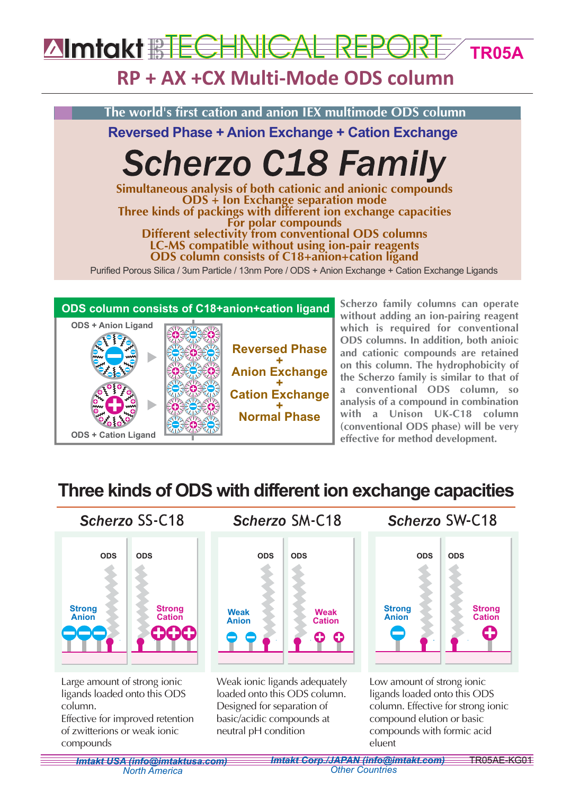### **Almtakt RECHNIC TR05A**

# **RP + AX +CX Multi-Mode ODS column**





**without adding an ion-pairing reagent which is required for conventional ODS columns. In addition, both anioic and cationic compounds are retained on this column. The hydrophobicity of the Scherzo family is similar to that of a conventional ODS column, so analysis of a compound in combination with a Unison UK-C18 column (conventional ODS phase) will be very effective for method development.**

# **Three kinds of ODS with different ion exchange capacities**



of zwitterions or weak ionic compounds

basic/acidic compounds at neutral pH condition

#### *Imtakt USA (info@imtaktusa.com) Imtakt Corp./JAPAN (info@imtakt.com)* TR05AE-KG01 *Other Countries*

eluent

compounds with formic acid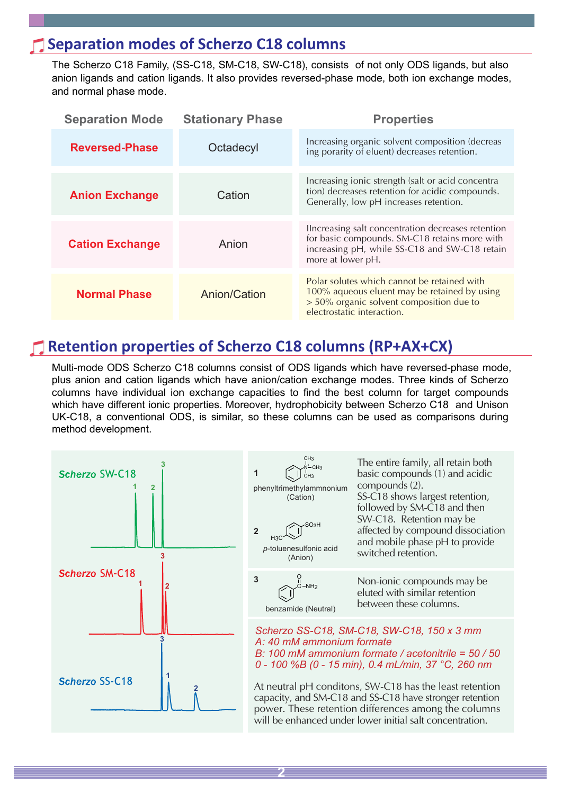### **Separation modes of Scherzo C18 columns**

The Scherzo C18 Family, (SS-C18, SM-C18, SW-C18), consists of not only ODS ligands, but also anion ligands and cation ligands. It also provides reversed-phase mode, both ion exchange modes, and normal phase mode.

| <b>Separation Mode</b> | <b>Stationary Phase</b> | <b>Properties</b>                                                                                                                                                         |  |  |  |  |  |  |
|------------------------|-------------------------|---------------------------------------------------------------------------------------------------------------------------------------------------------------------------|--|--|--|--|--|--|
| <b>Reversed-Phase</b>  | Octadecyl               | Increasing organic solvent composition (decreas<br>ing porarity of eluent) decreases retention.                                                                           |  |  |  |  |  |  |
| <b>Anion Exchange</b>  | Cation                  | Increasing ionic strength (salt or acid concentra<br>tion) decreases retention for acidic compounds.<br>Generally, low pH increases retention.                            |  |  |  |  |  |  |
| <b>Cation Exchange</b> | Anion                   | Ilncreasing salt concentration decreases retention<br>for basic compounds. SM-C18 retains more with<br>increasing pH, while SS-C18 and SW-C18 retain<br>more at lower pH. |  |  |  |  |  |  |
| <b>Normal Phase</b>    | Anion/Cation            | Polar solutes which cannot be retained with<br>100% aqueous eluent may be retained by using<br>> 50% organic solvent composition due to<br>electrostatic interaction.     |  |  |  |  |  |  |

## **Retention properties of Scherzo C18 columns (RP+AX+CX)**

Multi-mode ODS Scherzo C18 columns consist of ODS ligands which have reversed-phase mode, plus anion and cation ligands which have anion/cation exchange modes. Three kinds of Scherzo columns have individual ion exchange capacities to find the best column for target compounds which have different ionic properties. Moreover, hydrophobicity between Scherzo C18 and Unison UK-C18, a conventional ODS, is similar, so these columns can be used as comparisons during method development.



**2**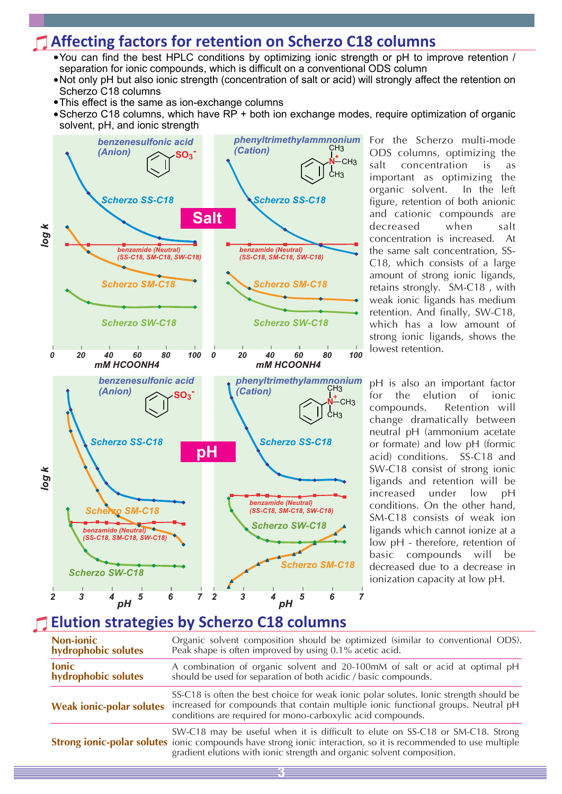### **Affecting factors for retention on Scherzo C18 columns**

- You can find the best HPLC conditions by optimizing ionic strength or pH to improve retention / separation for ionic compounds, which is difficult on a conventional ODS column
- Not only pH but also ionic strength (concentration of salt or acid) will strongly affect the retention on Scherzo C18 columns
- This effect is the same as ion-exchange columns
- Scherzo C18 columns, which have RP + both ion exchange modes, require optimization of organic solvent, pH, and ionic strength



For the Scherzo multi-mode ODS columns, optimizing the salt concentration is as important as optimizing the organic solvent. In the left figure, retention of both anionic and cationic compounds are decreased when salt concentration is increased. At the same salt concentration, SS-C18, which consists of a large amount of strong ionic ligands, retains strongly. SM-C18 , with weak ionic ligands has medium retention. And finally, SW-C18, which has a low amount of strong ionic ligands, shows the lowest retention.

pH is also an important factor for the elution of ionic compounds. Retention will change dramatically between neutral pH (ammonium acetate or formate) and low pH (formic acid) conditions. SS-C18 and SW-C18 consist of strong ionic ligands and retention will be increased under low pH conditions. On the other hand, SM-C18 consists of weak ion ligands which cannot ionize at a low pH - therefore, retention of basic compounds will be decreased due to a decrease in ionization capacity at low pH.

### **Elution strategies by Scherzo C18 columns**

| <b>Non-ionic</b><br>hydrophobic solutes | Organic solvent composition should be optimized (similar to conventional ODS).<br>Peak shape is often improved by using 0.1% acetic acid.                                                                                                                                         |
|-----------------------------------------|-----------------------------------------------------------------------------------------------------------------------------------------------------------------------------------------------------------------------------------------------------------------------------------|
| <b>lonic</b><br>hydrophobic solutes     | A combination of organic solvent and 20-100mM of salt or acid at optimal pH<br>should be used for separation of both acidic / basic compounds.                                                                                                                                    |
| <b>Weak ionic-polar solutes</b>         | SS-C18 is often the best choice for weak ionic polar solutes. Ionic strength should be<br>increased for compounds that contain multiple ionic functional groups. Neutral pH<br>conditions are required for mono-carboxylic acid compounds.                                        |
|                                         | SW-C18 may be useful when it is difficult to elute on SS-C18 or SM-C18. Strong<br><b>Strong ionic-polar solutes</b> ionic compounds have strong ionic interaction, so it is recommended to use multiple<br>gradient elutions with ionic strength and organic solvent composition. |
|                                         |                                                                                                                                                                                                                                                                                   |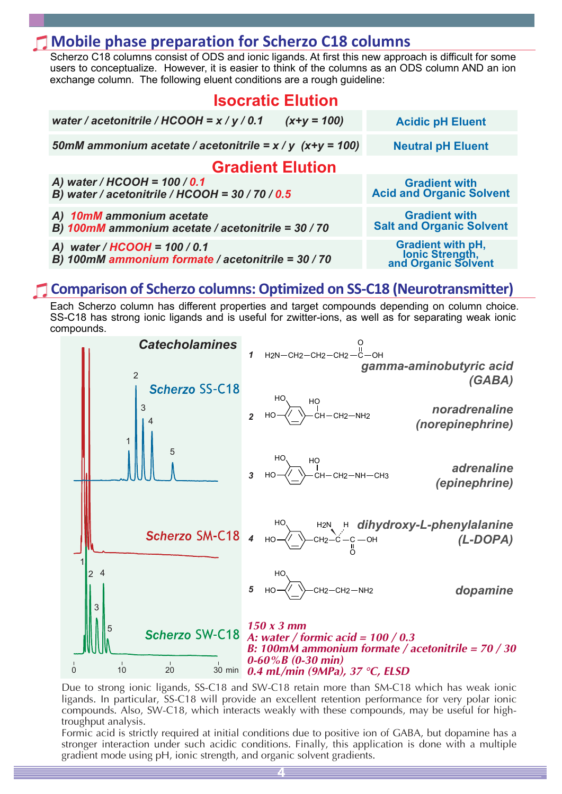### **Mobile phase preparation for Scherzo C18 columns**

Scherzo C18 columns consist of ODS and ionic ligands. At first this new approach is difficult for some users to conceptualize. However, it is easier to think of the columns as an ODS column AND an ion exchange column. The following eluent conditions are a rough guideline:

| <b>Isocratic Elution</b>                                                             |                                                                      |  |  |  |  |  |  |  |  |
|--------------------------------------------------------------------------------------|----------------------------------------------------------------------|--|--|--|--|--|--|--|--|
| water / acetonitrile / HCOOH = $x$ / $y$ / 0.1<br>$(x+y = 100)$                      | <b>Acidic pH Eluent</b>                                              |  |  |  |  |  |  |  |  |
| 50mM ammonium acetate / acetonitrile = $x / y$ (x+y = 100)                           | <b>Neutral pH Eluent</b>                                             |  |  |  |  |  |  |  |  |
| <b>Gradient Elution</b>                                                              |                                                                      |  |  |  |  |  |  |  |  |
| A) water / $HCOOH = 100 / 0.1$<br>B) water / acetonitrile / HCOOH = $30$ / 70 / 0.5  | <b>Gradient with</b><br><b>Acid and Organic Solvent</b>              |  |  |  |  |  |  |  |  |
| A) 10mM ammonium acetate<br>B) 100mM ammonium acetate / acetonitrile = 30 / 70       | <b>Gradient with</b><br><b>Salt and Organic Solvent</b>              |  |  |  |  |  |  |  |  |
| A) water / $HCOOH = 100 / 0.1$<br>B) 100mM ammonium formate / acetonitrile = 30 / 70 | <b>Gradient with pH,<br/>Ionic Strength,<br/>and Organic Solvent</b> |  |  |  |  |  |  |  |  |

### **Comparison of Scherzo columns: Optimized on SS-C18 (Neurotransmitter)**

Each Scherzo column has different properties and target compounds depending on column choice. SS-C18 has strong ionic ligands and is useful for zwitter-ions, as well as for separating weak ionic compounds.



Due to strong ionic ligands, SS-C18 and SW-C18 retain more than SM-C18 which has weak ionic ligands. In particular, SS-C18 will provide an excellent retention performance for very polar ionic compounds. Also, SW-C18, which interacts weakly with these compounds, may be useful for hightroughput analysis.

Formic acid is strictly required at initial conditions due to positive ion of GABA, but dopamine has a stronger interaction under such acidic conditions. Finally, this application is done with a multiple gradient mode using pH, ionic strength, and organic solvent gradients.

**4**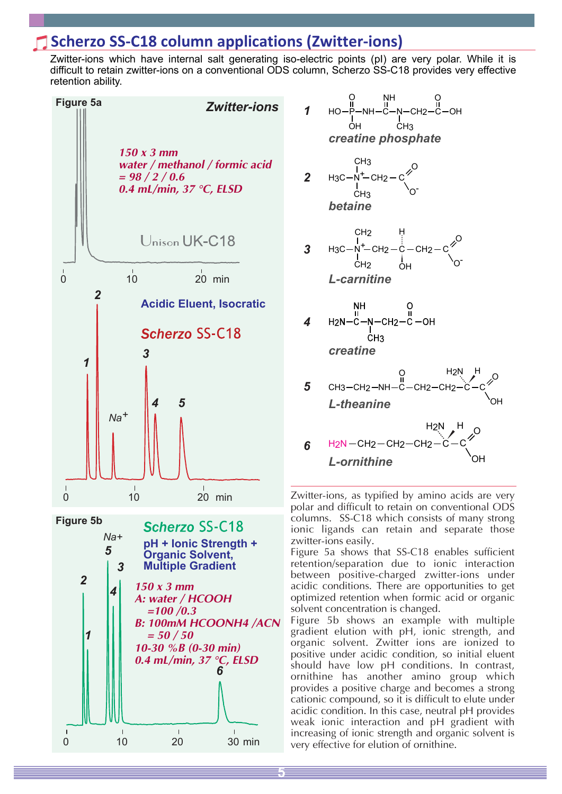### **Scherzo SS-C18 column applications (Zwitter-ions)**

Zwitter-ions which have internal salt generating iso-electric points (pI) are very polar. While it is difficult to retain zwitter-ions on a conventional ODS column, Scherzo SS-C18 provides very effective retention ability.





Zwitter-ions, as typified by amino acids are very polar and difficult to retain on conventional ODS columns. SS-C18 which consists of many strong ionic ligands can retain and separate those zwitter-ions easily.

Figure 5a shows that SS-C18 enables sufficient retention/separation due to ionic interaction between positive-charged zwitter-ions under acidic conditions. There are opportunities to get optimized retention when formic acid or organic solvent concentration is changed.

Figure 5b shows an example with multiple gradient elution with pH, ionic strength, and organic solvent. Zwitter ions are ionized to positive under acidic condition, so initial eluent should have low pH conditions. In contrast, ornithine has another amino group which provides a positive charge and becomes a strong cationic compound, so it is difficult to elute under acidic condition. In this case, neutral pH provides weak ionic interaction and pH gradient with increasing of ionic strength and organic solvent is very effective for elution of ornithine.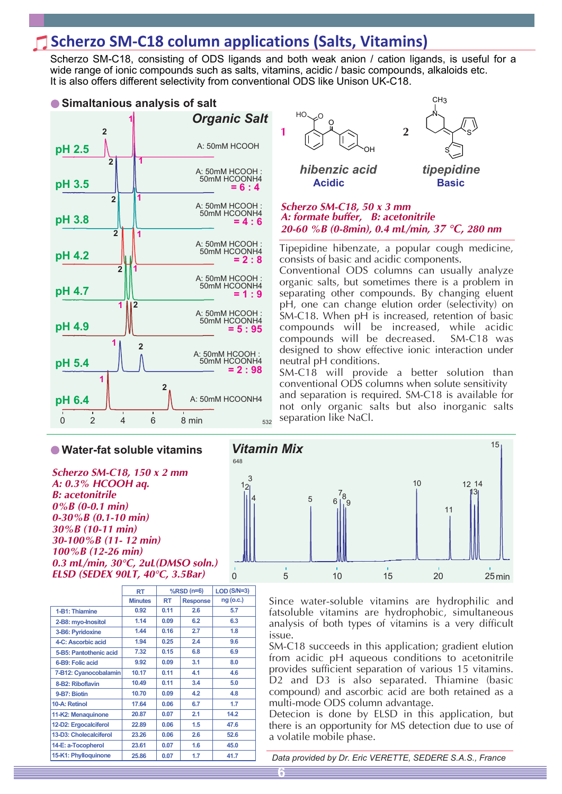## **Scherzo SM-C18 column applications (Salts, Vitamins)**

Scherzo SM-C18, consisting of ODS ligands and both weak anion / cation ligands, is useful for a wide range of ionic compounds such as salts, vitamins, acidic / basic compounds, alkaloids etc. It is also offers different selectivity from conventional ODS like Unison UK-C18.

![](_page_5_Figure_2.jpeg)

**Water-fat soluble vitamins**

*Scherzo SM-C18, 150 x 2 mm A: 0.3% HCOOH aq. B: acetonitrile 0%B (0-0.1 min) 0-30%B (0.1-10 min) 30%B (10-11 min) 30-100%B (11- 12 min) 100%B (12-26 min) 0.3 mL/min, 30°C, 2uL(DMSO soln.)*

|                        | RT             |      | $%$ RSD $(n=6)$ | $LOD(S/N=3)$ |  |  |
|------------------------|----------------|------|-----------------|--------------|--|--|
|                        | <b>Minutes</b> | RT   | <b>Response</b> | $ng$ (o.c.)  |  |  |
| 1-B1: Thiamine         | 0.92           | 0.11 | 2.6             | 5.7          |  |  |
| 2-B8: myo-lnositol     | 1.14           | 0.09 | 6.2             | 6.3          |  |  |
| 3-B6: Pyridoxine       | 1.44           | 0.16 | 2.7             | 1.8          |  |  |
| 4-C: Ascorbic acid     | 1.94           | 0.25 | 2.4             | 9.6          |  |  |
| 5-B5: Pantothenic acid | 7.32           | 0.15 | 6.8             | 6.9          |  |  |
| 6-B9: Folic acid       | 9.92           | 0.09 | 3.1             | 8.0          |  |  |
| 7-B12: Cyanocobalamin  | 10.17          | 0.11 | 4.1             | 4.6          |  |  |
| 8-B2: Riboflavin       | 10.49          | 0.11 | 3.4             | 5.0          |  |  |
| 9-B7: Biotin           | 10.70          | 0.09 | 4.2             | 4.8          |  |  |
| 10-A: Retinol          | 17.64          | 0.06 | 6.7             | 1.7          |  |  |
| 11-K2: Menaquinone     | 20.87          | 0.07 | 2.1             | 14.2         |  |  |
| 12-D2: Ergocalciferol  | 22.89          | 0.06 | 1.5             | 47.6         |  |  |
| 13-D3: Cholecalciferol | 23.26          | 0.06 | 2.6             | 52.6         |  |  |
| 14-E: a-Tocopherol     | 23.61          | 0.07 | 1.6             | 45.0         |  |  |
| 15-K1: Phylloquinone   | 25.86          | 0.07 | 1.7             | 41.7         |  |  |

![](_page_5_Figure_6.jpeg)

#### *Scherzo SM-C18, 50 x 3 mm A: formate buffer, B: acetonitrile 20-60 %B (0-8min), 0.4 mL/min, 37 °C, 280 nm*

Tipepidine hibenzate, a popular cough medicine, consists of basic and acidic components.

Conventional ODS columns can usually analyze organic salts, but sometimes there is a problem in separating other compounds. By changing eluent pH, one can change elution order (selectivity) on SM-C18. When pH is increased, retention of basic compounds will be increased, while acidic compounds will be decreased. SM-C18 was designed to show effective ionic interaction under neutral pH conditions.

SM-C18 will provide a better solution than conventional ODS columns when solute sensitivity and separation is required. SM-C18 is available for not only organic salts but also inorganic salts separation like NaCl.

![](_page_5_Figure_11.jpeg)

Since water-soluble vitamins are hydrophilic and fatsoluble vitamins are hydrophobic, simultaneous analysis of both types of vitamins is a very difficult issue.

SM-C18 succeeds in this application; gradient elution from acidic pH aqueous conditions to acetonitrile provides sufficient separation of various 15 vitamins. D<sub>2</sub> and D<sub>3</sub> is also separated. Thiamine (basic compound) and ascorbic acid are both retained as a multi-mode ODS column advantage.

Detecion is done by ELSD in this application, but there is an opportunity for MS detection due to use of a volatile mobile phase.

*Data provided by Dr. Eric VERETTE, SEDERE S.A.S., France*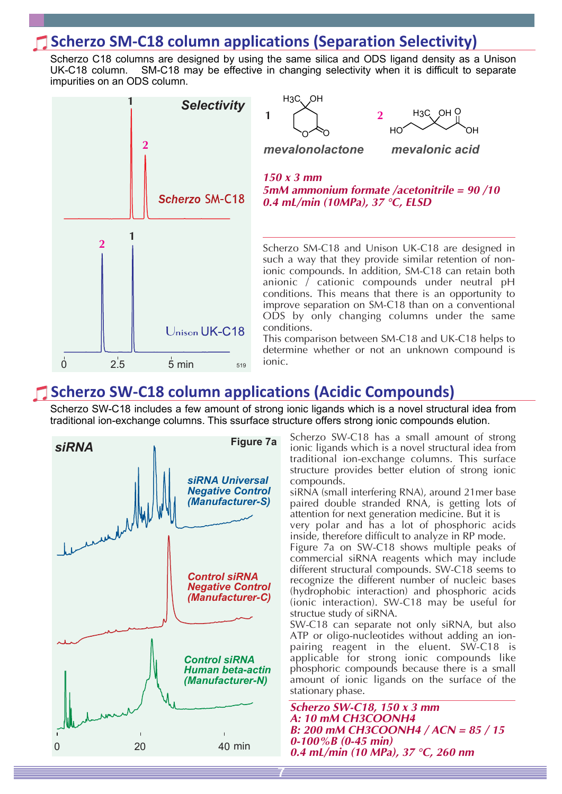### **Scherzo SM-C18 column applications (Separation Selectivity)**

Scherzo C18 columns are designed by using the same silica and ODS ligand density as a Unison UK-C18 column. SM-C18 may be effective in changing selectivity when it is difficult to separate impurities on an ODS column.

H<sub>3</sub>C<sub>C</sub>OH

![](_page_6_Figure_2.jpeg)

*150 x 3 mm 5mM ammonium formate /acetonitrile = 90 /10 0.4 mL/min (10MPa), 37 °C, ELSD*  $\circ$ *mevalonolactone*  $HO$ OH *mevalonic acid* **1 2** Scherzo SM-C18 and Unison UK-C18 are designed in such a way that they provide similar retention of nonionic compounds. In addition, SM-C18 can retain both anionic / cationic compounds under neutral pH conditions. This means that there is an opportunity to improve separation on SM-C18 than on a conventional ODS by only changing columns under the same conditions. This comparison between SM-C18 and UK-C18 helps to

O

H3C OH

determine whether or not an unknown compound is ionic.

### **Scherzo SW-C18 column applications (Acidic Compounds)**

Scherzo SW-C18 includes a few amount of strong ionic ligands which is a novel structural idea from traditional ion-exchange columns. This ssurface structure offers strong ionic compounds elution.

**7**

![](_page_6_Figure_7.jpeg)

Scherzo SW-C18 has a small amount of strong ionic ligands which is a novel structural idea from traditional ion-exchange columns. This surface structure provides better elution of strong ionic compounds.

siRNA (small interfering RNA), around 21mer base paired double stranded RNA, is getting lots of attention for next generation medicine. But it is very polar and has a lot of phosphoric acids

inside, therefore difficult to analyze in RP mode.

Figure 7a on SW-C18 shows multiple peaks of commercial siRNA reagents which may include different structural compounds. SW-C18 seems to recognize the different number of nucleic bases (hydrophobic interaction) and phosphoric acids (ionic interaction). SW-C18 may be useful for structue study of siRNA.

SW-C18 can separate not only siRNA, but also ATP or oligo-nucleotides without adding an ionpairing reagent in the eluent. SW-C18 is applicable for strong ionic compounds like phosphoric compounds because there is a small amount of ionic ligands on the surface of the stationary phase.

*Scherzo SW-C18, 150 x 3 mm A: 10 mM CH3COONH4 B: 200 mM CH3COONH4 / ACN = 85 / 15 0-100%B (0-45 min) 0.4 mL/min (10 MPa), 37 °C, 260 nm*